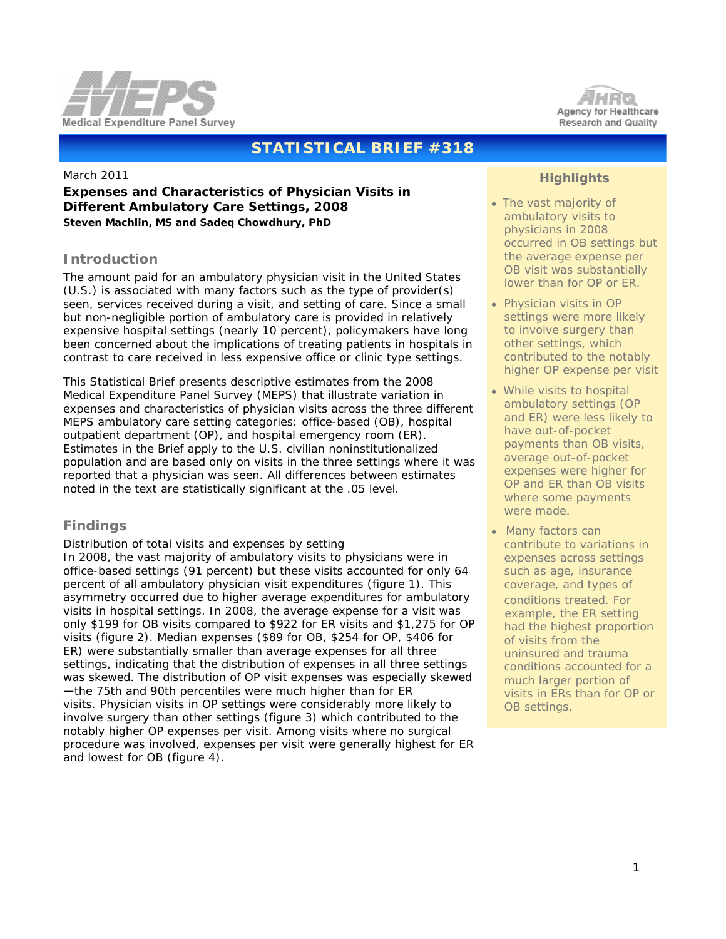



# **STATISTICAL BRIEF #318**

March 2011

## **Expenses and Characteristics of Physician Visits in Different Ambulatory Care Settings, 2008** *Steven Machlin, MS and Sadeq Chowdhury, PhD*

## **Introduction**

The amount paid for an ambulatory physician visit in the United States (U.S.) is associated with many factors such as the type of provider(s) seen, services received during a visit, and setting of care. Since a small but non-negligible portion of ambulatory care is provided in relatively expensive hospital settings (nearly 10 percent), policymakers have long been concerned about the implications of treating patients in hospitals in contrast to care received in less expensive office or clinic type settings.

This Statistical Brief presents descriptive estimates from the 2008 Medical Expenditure Panel Survey (MEPS) that illustrate variation in expenses and characteristics of physician visits across the three different MEPS ambulatory care setting categories: office-based (OB), hospital outpatient department (OP), and hospital emergency room (ER). Estimates in the Brief apply to the U.S. civilian noninstitutionalized population and are based only on visits in the three settings where it was reported that a physician was seen. All differences between estimates noted in the text are statistically significant at the .05 level.

## **Findings**

### *Distribution of total visits and expenses by setting*

In 2008, the vast majority of ambulatory visits to physicians were in office-based settings (91 percent) but these visits accounted for only 64 percent of all ambulatory physician visit expenditures (figure 1). This asymmetry occurred due to higher average expenditures for ambulatory visits in hospital settings. In 2008, the average expense for a visit was only \$199 for OB visits compared to \$922 for ER visits and \$1,275 for OP visits (figure 2). Median expenses (\$89 for OB, \$254 for OP, \$406 for ER) were substantially smaller than average expenses for all three settings, indicating that the distribution of expenses in all three settings was skewed. The distribution of OP visit expenses was especially skewed —the 75th and 90th percentiles were much higher than for ER visits. Physician visits in OP settings were considerably more likely to involve surgery than other settings (figure 3) which contributed to the notably higher OP expenses per visit. Among visits where no surgical procedure was involved, expenses per visit were generally highest for ER and lowest for OB (figure 4).

## **Highlights**

- The vast majority of ambulatory visits to physicians in 2008 occurred in OB settings but the average expense per OB visit was substantially lower than for OP or ER.
- Physician visits in OP settings were more likely to involve surgery than other settings, which contributed to the notably higher OP expense per visit
- While visits to hospital ambulatory settings (OP and ER) were less likely to have out-of-pocket payments than OB visits, average out-of-pocket expenses were higher for OP and ER than OB visits where some payments were made.
- Many factors can contribute to variations in expenses across settings such as age, insurance coverage, and types of conditions treated. For example, the ER setting had the highest proportion of visits from the uninsured and trauma conditions accounted for a much larger portion of visits in ERs than for OP or OB settings.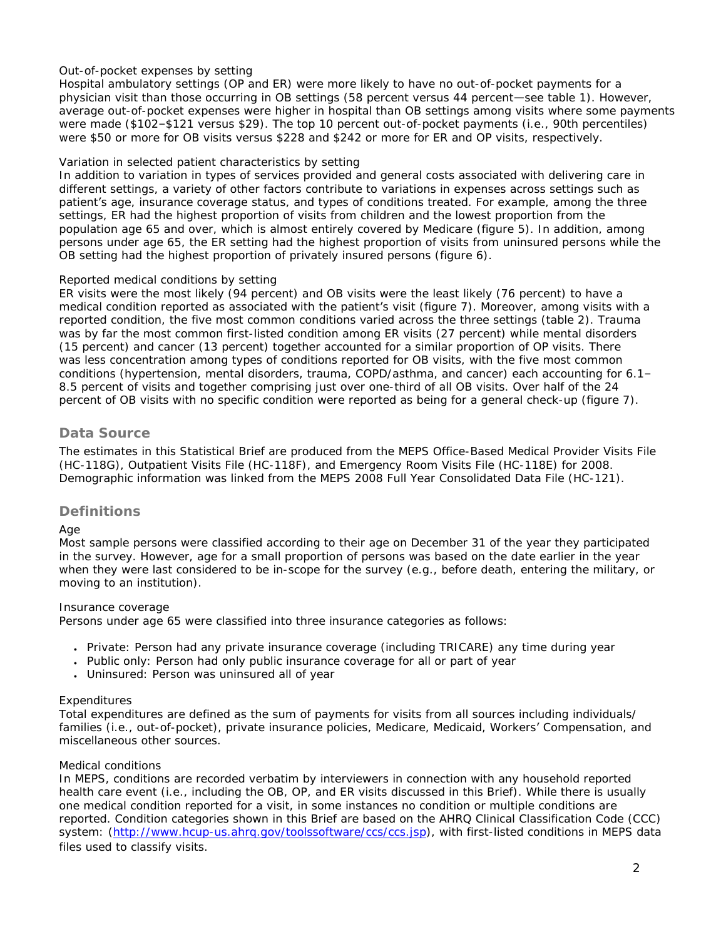## *Out-of-pocket expenses by setting*

Hospital ambulatory settings (OP and ER) were more likely to have no out-of-pocket payments for a physician visit than those occurring in OB settings (58 percent versus 44 percent—see table 1). However, average out-of-pocket expenses were higher in hospital than OB settings among visits where some payments were made (\$102–\$121 versus \$29). The top 10 percent out-of-pocket payments (i.e., 90th percentiles) were \$50 or more for OB visits versus \$228 and \$242 or more for ER and OP visits, respectively.

## *Variation in selected patient characteristics by setting*

In addition to variation in types of services provided and general costs associated with delivering care in different settings, a variety of other factors contribute to variations in expenses across settings such as patient's age, insurance coverage status, and types of conditions treated. For example, among the three settings, ER had the highest proportion of visits from children and the lowest proportion from the population age 65 and over, which is almost entirely covered by Medicare (figure 5). In addition, among persons under age 65, the ER setting had the highest proportion of visits from uninsured persons while the OB setting had the highest proportion of privately insured persons (figure 6).

### *Reported medical conditions by setting*

ER visits were the most likely (94 percent) and OB visits were the least likely (76 percent) to have a medical condition reported as associated with the patient's visit (figure 7). Moreover, among visits with a reported condition, the five most common conditions varied across the three settings (table 2). Trauma was by far the most common first-listed condition among ER visits (27 percent) while mental disorders (15 percent) and cancer (13 percent) together accounted for a similar proportion of OP visits. There was less concentration among types of conditions reported for OB visits, with the five most common conditions (hypertension, mental disorders, trauma, COPD/asthma, and cancer) each accounting for 6.1– 8.5 percent of visits and together comprising just over one-third of all OB visits. Over half of the 24 percent of OB visits with no specific condition were reported as being for a general check-up (figure 7).

## **Data Source**

The estimates in this Statistical Brief are produced from the MEPS Office-Based Medical Provider Visits File (HC-118G), Outpatient Visits File (HC-118F), and Emergency Room Visits File (HC-118E) for 2008. Demographic information was linked from the MEPS 2008 Full Year Consolidated Data File (HC-121).

## **Definitions**

### *Age*

Most sample persons were classified according to their age on December 31 of the year they participated in the survey. However, age for a small proportion of persons was based on the date earlier in the year when they were last considered to be in-scope for the survey (e.g., before death, entering the military, or moving to an institution).

### *Insurance coverage*

Persons under age 65 were classified into three insurance categories as follows:

- Private: Person had any private insurance coverage (including TRICARE) any time during year
- Public only: Person had only public insurance coverage for all or part of year
- Uninsured: Person was uninsured all of year

### *Expenditures*

Total expenditures are defined as the sum of payments for visits from all sources including individuals/ families (i.e., out-of-pocket), private insurance policies, Medicare, Medicaid, Workers' Compensation, and miscellaneous other sources.

### *Medical conditions*

In MEPS, conditions are recorded verbatim by interviewers in connection with any household reported health care event (i.e., including the OB, OP, and ER visits discussed in this Brief). While there is usually one medical condition reported for a visit, in some instances no condition or multiple conditions are reported. Condition categories shown in this Brief are based on the AHRQ Clinical Classification Code (CCC) system: [\(http://www.hcup-us.ahrq.gov/toolssoftware/ccs/ccs.jsp\)](http://www.hcup-us.ahrq.gov/toolssoftware/ccs/ccs.jsp), with first-listed conditions in MEPS data files used to classify visits.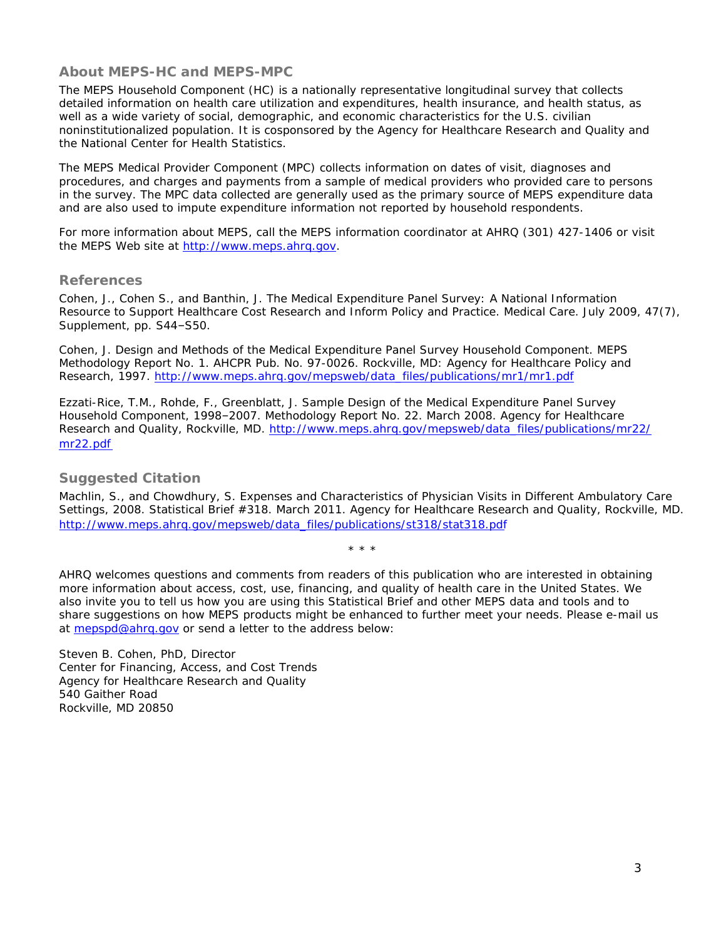## **About MEPS-HC and MEPS-MPC**

The MEPS Household Component (HC) is a nationally representative longitudinal survey that collects detailed information on health care utilization and expenditures, health insurance, and health status, as well as a wide variety of social, demographic, and economic characteristics for the U.S. civilian noninstitutionalized population. It is cosponsored by the Agency for Healthcare Research and Quality and the National Center for Health Statistics.

The MEPS Medical Provider Component (MPC) collects information on dates of visit, diagnoses and procedures, and charges and payments from a sample of medical providers who provided care to persons in the survey. The MPC data collected are generally used as the primary source of MEPS expenditure data and are also used to impute expenditure information not reported by household respondents.

For more information about MEPS, call the MEPS information coordinator at AHRQ (301) 427-1406 or visit the MEPS Web site at [http://www.meps.ahrq.gov.](http://www.meps.ahrq.gov/)

### **References**

Cohen, J., Cohen S., and Banthin, J. The Medical Expenditure Panel Survey: A National Information Resource to Support Healthcare Cost Research and Inform Policy and Practice. *Medical Care*. July 2009, 47(7), Supplement, pp. S44–S50.

Cohen, J. *Design and Methods of the Medical Expenditure Panel Survey Household Component*. MEPS Methodology Report No. 1. AHCPR Pub. No. 97-0026. Rockville, MD: Agency for Healthcare Policy and Research, 1997. [http://www.meps.ahrq.gov/mepsweb/data\\_files/publications/mr1/mr1.pdf](http://www.meps.ahrq.gov/mepsweb/data_files/publications/mr1/mr1.pdf) 

Ezzati-Rice, T.M., Rohde, F., Greenblatt, J. Sample Design of the Medical Expenditure Panel Survey Household Component, 1998–2007. Methodology Report No. 22. March 2008. Agency for Healthcare Research and Quality, Rockville, MD. [http://www.meps.ahrq.gov/mepsweb/data\\_files/publications/mr22/](http://www.meps.ahrq.gov/mepsweb/data_files/publications/mr22/mr22.pdf) [mr22.pdf](http://www.meps.ahrq.gov/mepsweb/data_files/publications/mr22/mr22.pdf)

## **Suggested Citation**

Machlin, S., and Chowdhury, S. *Expenses and Characteristics of Physician Visits in Different Ambulatory Care Settings, 2008*. Statistical Brief #318. March 2011. Agency for Healthcare Research and Quality, Rockville, MD. [http://www.meps.ahrq.gov/mepsweb/data\\_files/publications/st318/stat318.pdf](http://www.meps.ahrq.gov/mepsweb/data_files/publications/st318/stat318.pdf)

AHRQ welcomes questions and comments from readers of this publication who are interested in obtaining more information about access, cost, use, financing, and quality of health care in the United States. We also invite you to tell us how you are using this Statistical Brief and other MEPS data and tools and to share suggestions on how MEPS products might be enhanced to further meet your needs. Please e-mail us at [mepspd@ahrq.gov](mailto:mepspd@ahrq.gov) or send a letter to the address below:

\* \* \*

Steven B. Cohen, PhD, Director Center for Financing, Access, and Cost Trends Agency for Healthcare Research and Quality 540 Gaither Road Rockville, MD 20850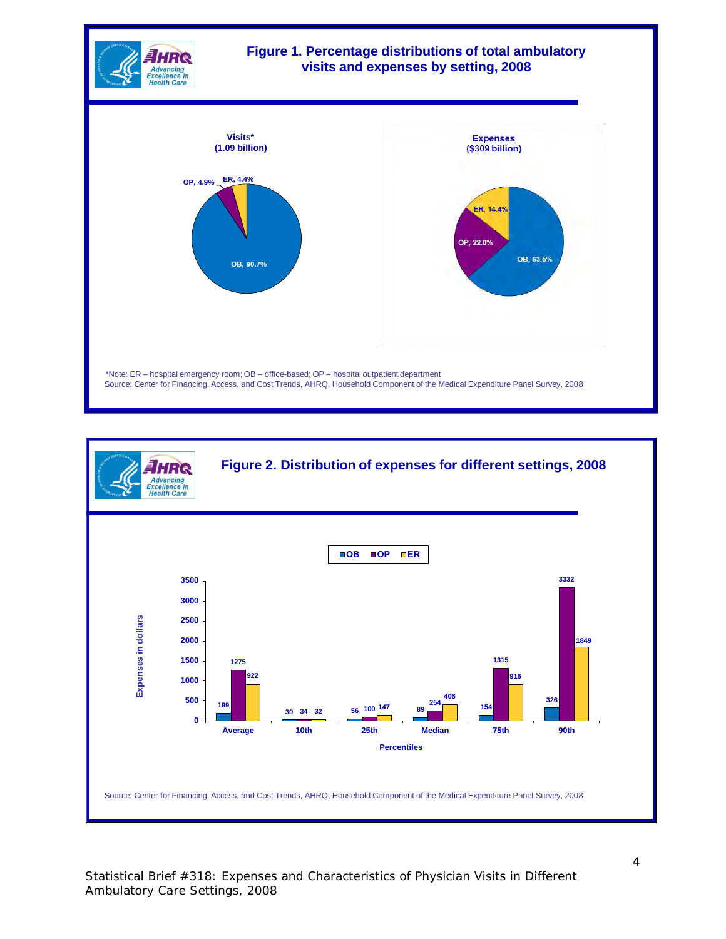

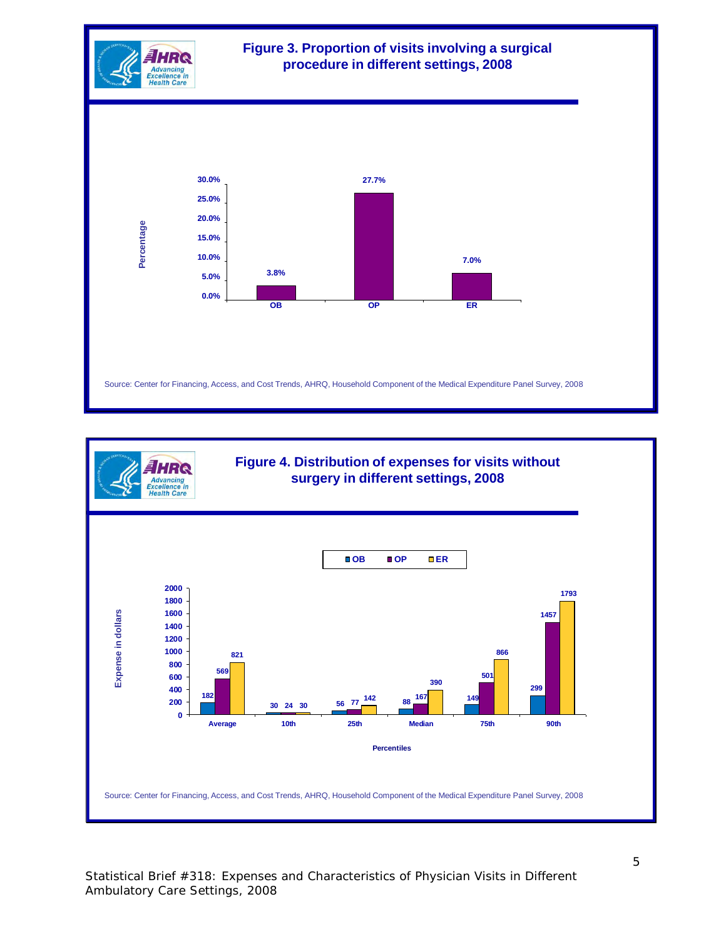



Statistical Brief #318: Expenses and Characteristics of Physician Visits in Different Ambulatory Care Settings, 2008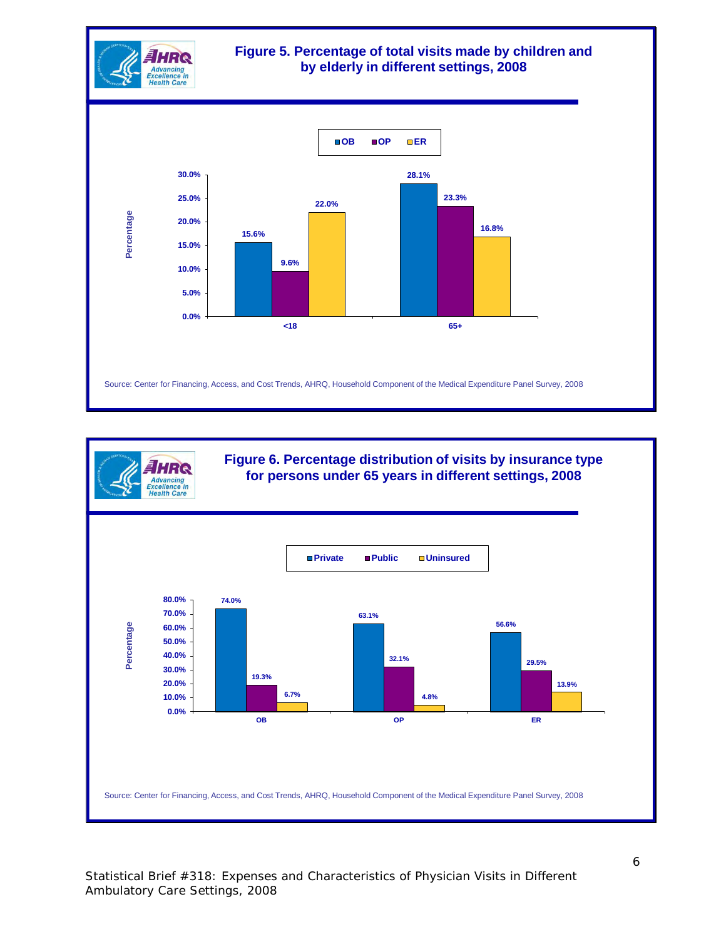



**Figure 6. Percentage distribution of visits by insurance type for persons under 65 years in different settings, 2008**